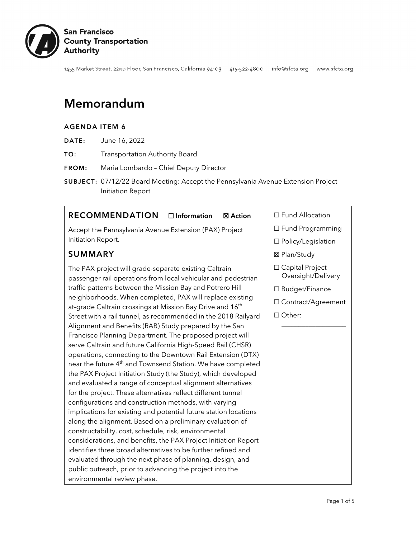

1455 Market Street, 22ND Floor, San Francisco, California 94103 415-522-4800 info@sfcta.org www.sfcta.org

# Memorandum

#### AGENDA ITEM 6

- DATE: June 16, 2022
- TO: Transportation Authority Board
- FROM: Maria Lombardo Chief Deputy Director
- SUBJECT: 07/12/22 Board Meeting: Accept the Pennsylvania Avenue Extension Project Initiation Report

#### RECOMMENDATION □ Information ⊠ Action

Accept the Pennsylvania Avenue Extension (PAX) Project Initiation Report.

#### SUMMARY

The PAX project will grade-separate existing Caltrain passenger rail operations from local vehicular and pedestrian traffic patterns between the Mission Bay and Potrero Hill neighborhoods. When completed, PAX will replace existing at-grade Caltrain crossings at Mission Bay Drive and 16<sup>th</sup> Street with a rail tunnel, as recommended in the 2018 Railyard Alignment and Benefits (RAB) Study prepared by the San Francisco Planning Department. The proposed project will serve Caltrain and future California High-Speed Rail (CHSR) operations, connecting to the Downtown Rail Extension (DTX) near the future 4<sup>th</sup> and Townsend Station. We have completed the PAX Project Initiation Study (the Study), which developed and evaluated a range of conceptual alignment alternatives for the project. These alternatives reflect different tunnel configurations and construction methods, with varying implications for existing and potential future station locations along the alignment. Based on a preliminary evaluation of constructability, cost, schedule, risk, environmental considerations, and benefits, the PAX Project Initiation Report identifies three broad alternatives to be further refined and evaluated through the next phase of planning, design, and public outreach, prior to advancing the project into the environmental review phase.

#### ☐ Fund Allocation

- ☐ Fund Programming
- ☐ Policy/Legislation
- ☒ Plan/Study
- ☐ Capital Project Oversight/Delivery
- ☐ Budget/Finance
- ☐ Contract/Agreement

\_\_\_\_\_\_\_\_\_\_\_\_\_\_\_\_\_\_\_

☐ Other: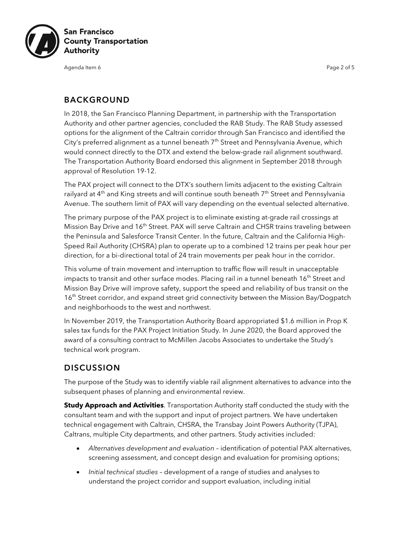

Agenda Item 6 Page 2 of 5

## BACKGROUND

In 2018, the San Francisco Planning Department, in partnership with the Transportation Authority and other partner agencies, concluded the RAB Study. The RAB Study assessed options for the alignment of the Caltrain corridor through San Francisco and identified the City's preferred alignment as a tunnel beneath  $7<sup>th</sup>$  Street and Pennsylvania Avenue, which would connect directly to the DTX and extend the below-grade rail alignment southward. The Transportation Authority Board endorsed this alignment in September 2018 through approval of Resolution 19-12.

The PAX project will connect to the DTX's southern limits adjacent to the existing Caltrain railyard at 4<sup>th</sup> and King streets and will continue south beneath 7<sup>th</sup> Street and Pennsylvania Avenue. The southern limit of PAX will vary depending on the eventual selected alternative.

The primary purpose of the PAX project is to eliminate existing at-grade rail crossings at Mission Bay Drive and 16<sup>th</sup> Street. PAX will serve Caltrain and CHSR trains traveling between the Peninsula and Salesforce Transit Center. In the future, Caltrain and the California High-Speed Rail Authority (CHSRA) plan to operate up to a combined 12 trains per peak hour per direction, for a bi-directional total of 24 train movements per peak hour in the corridor.

This volume of train movement and interruption to traffic flow will result in unacceptable impacts to transit and other surface modes. Placing rail in a tunnel beneath  $16<sup>th</sup>$  Street and Mission Bay Drive will improve safety, support the speed and reliability of bus transit on the 16<sup>th</sup> Street corridor, and expand street grid connectivity between the Mission Bay/Dogpatch and neighborhoods to the west and northwest.

In November 2019, the Transportation Authority Board appropriated \$1.6 million in Prop K sales tax funds for the PAX Project Initiation Study. In June 2020, the Board approved the award of a consulting contract to McMillen Jacobs Associates to undertake the Study's technical work program.

# **DISCUSSION**

The purpose of the Study was to identify viable rail alignment alternatives to advance into the subsequent phases of planning and environmental review.

**Study Approach and Activities**. Transportation Authority staff conducted the study with the consultant team and with the support and input of project partners. We have undertaken technical engagement with Caltrain, CHSRA, the Transbay Joint Powers Authority (TJPA), Caltrans, multiple City departments, and other partners. Study activities included:

- *Alternatives development and evaluation* identification of potential PAX alternatives, screening assessment, and concept design and evaluation for promising options;
- *Initial technical studies* development of a range of studies and analyses to understand the project corridor and support evaluation, including initial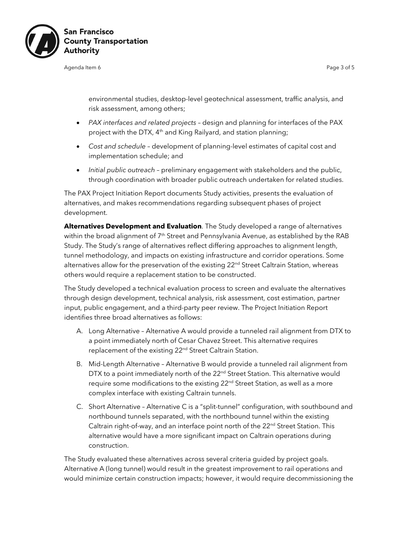

Agenda Item 6 Page 3 of 5 Page 3 of 5 Page 3 of 5 Page 3 of 5 Page 3 of 5 Page 3 of 5 Page 3 of 5 Page 3 of 5

environmental studies, desktop-level geotechnical assessment, traffic analysis, and risk assessment, among others;

- *PAX interfaces and related projects* design and planning for interfaces of the PAX project with the DTX, 4<sup>th</sup> and King Railyard, and station planning;
- *Cost and schedule* development of planning-level estimates of capital cost and implementation schedule; and
- *Initial public outreach* preliminary engagement with stakeholders and the public, through coordination with broader public outreach undertaken for related studies.

The PAX Project Initiation Report documents Study activities, presents the evaluation of alternatives, and makes recommendations regarding subsequent phases of project development.

**Alternatives Development and Evaluation**. The Study developed a range of alternatives within the broad alignment of 7<sup>th</sup> Street and Pennsylvania Avenue, as established by the RAB Study. The Study's range of alternatives reflect differing approaches to alignment length, tunnel methodology, and impacts on existing infrastructure and corridor operations. Some alternatives allow for the preservation of the existing 22<sup>nd</sup> Street Caltrain Station, whereas others would require a replacement station to be constructed.

The Study developed a technical evaluation process to screen and evaluate the alternatives through design development, technical analysis, risk assessment, cost estimation, partner input, public engagement, and a third-party peer review. The Project Initiation Report identifies three broad alternatives as follows:

- A. Long Alternative Alternative A would provide a tunneled rail alignment from DTX to a point immediately north of Cesar Chavez Street. This alternative requires replacement of the existing 22<sup>nd</sup> Street Caltrain Station.
- B. Mid-Length Alternative Alternative B would provide a tunneled rail alignment from DTX to a point immediately north of the 22<sup>nd</sup> Street Station. This alternative would require some modifications to the existing 22<sup>nd</sup> Street Station, as well as a more complex interface with existing Caltrain tunnels.
- C. Short Alternative Alternative C is a "split-tunnel" configuration, with southbound and northbound tunnels separated, with the northbound tunnel within the existing Caltrain right-of-way, and an interface point north of the 22<sup>nd</sup> Street Station. This alternative would have a more significant impact on Caltrain operations during construction.

The Study evaluated these alternatives across several criteria guided by project goals. Alternative A (long tunnel) would result in the greatest improvement to rail operations and would minimize certain construction impacts; however, it would require decommissioning the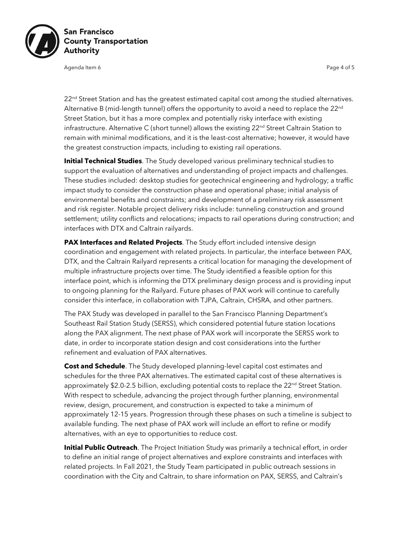

Agenda Item 6 Page 4 of 5 Page 4 of 5 Page 4 of 5 Page 4 of 5 Page 4 of 5

22<sup>nd</sup> Street Station and has the greatest estimated capital cost among the studied alternatives. Alternative B (mid-length tunnel) offers the opportunity to avoid a need to replace the 22<sup>nd</sup> Street Station, but it has a more complex and potentially risky interface with existing infrastructure. Alternative C (short tunnel) allows the existing 22<sup>nd</sup> Street Caltrain Station to remain with minimal modifications, and it is the least-cost alternative; however, it would have the greatest construction impacts, including to existing rail operations.

**Initial Technical Studies**. The Study developed various preliminary technical studies to support the evaluation of alternatives and understanding of project impacts and challenges. These studies included: desktop studies for geotechnical engineering and hydrology; a traffic impact study to consider the construction phase and operational phase; initial analysis of environmental benefits and constraints; and development of a preliminary risk assessment and risk register. Notable project delivery risks include: tunneling construction and ground settlement; utility conflicts and relocations; impacts to rail operations during construction; and interfaces with DTX and Caltrain railyards.

**PAX Interfaces and Related Projects**. The Study effort included intensive design coordination and engagement with related projects. In particular, the interface between PAX, DTX, and the Caltrain Railyard represents a critical location for managing the development of multiple infrastructure projects over time. The Study identified a feasible option for this interface point, which is informing the DTX preliminary design process and is providing input to ongoing planning for the Railyard. Future phases of PAX work will continue to carefully consider this interface, in collaboration with TJPA, Caltrain, CHSRA, and other partners.

The PAX Study was developed in parallel to the San Francisco Planning Department's Southeast Rail Station Study (SERSS), which considered potential future station locations along the PAX alignment. The next phase of PAX work will incorporate the SERSS work to date, in order to incorporate station design and cost considerations into the further refinement and evaluation of PAX alternatives.

**Cost and Schedule**. The Study developed planning-level capital cost estimates and schedules for the three PAX alternatives. The estimated capital cost of these alternatives is approximately \$2.0-2.5 billion, excluding potential costs to replace the  $22^{nd}$  Street Station. With respect to schedule, advancing the project through further planning, environmental review, design, procurement, and construction is expected to take a minimum of approximately 12-15 years. Progression through these phases on such a timeline is subject to available funding. The next phase of PAX work will include an effort to refine or modify alternatives, with an eye to opportunities to reduce cost.

**Initial Public Outreach**. The Project Initiation Study was primarily a technical effort, in order to define an initial range of project alternatives and explore constraints and interfaces with related projects. In Fall 2021, the Study Team participated in public outreach sessions in coordination with the City and Caltrain, to share information on PAX, SERSS, and Caltrain's